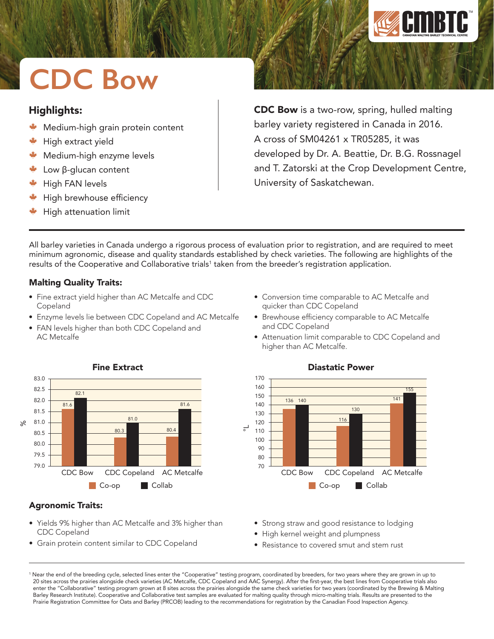

# **CDC Bow**

## Highlights:

- Medium-high grain protein content
- High extract yield
- W Medium-high enzyme levels
- Low β-glucan content
- $*$  High FAN levels
- High brewhouse efficiency
- High attenuation limit

CDC Bow is a two-row, spring, hulled malting barley variety registered in Canada in 2016. A cross of SM04261 x TR05285, it was developed by Dr. A. Beattie, Dr. B.G. Rossnagel and T. Zatorski at the Crop Development Centre, University of Saskatchewan.

All barley varieties in Canada undergo a rigorous process of evaluation prior to registration, and are required to meet minimum agronomic, disease and quality standards established by check varieties. The following are highlights of the results of the Cooperative and Collaborative trials<sup>1</sup> taken from the breeder's registration application.

> 170 160 150

## Malting Quality Traits:

CDC Copeland

- Fine extract yield higher than AC Metcalfe and CDC Copeland
- Enzyme levels lie between CDC Copeland and AC Metcalfe
- FAN levels higher than both CDC Copeland and AC Metcalfe



• Yields 9% higher than AC Metcalfe and 3% higher than

• Grain protein content similar to CDC Copeland

#### CDC Bow CDC Copeland AC Metcalfe Co-op **Collab** 140 130 120 110 100 90  $80$ 70 °L 136 140 116 130

### Diastatic Power

 $\overline{14}$ 155

• Conversion time comparable to AC Metcalfe and

• Brewhouse efficiency comparable to AC Metcalfe

• Attenuation limit comparable to CDC Copeland and

quicker than CDC Copeland

and CDC Copeland

higher than AC Metcalfe.

- Strong straw and good resistance to lodging
- High kernel weight and plumpness
- Resistance to covered smut and stem rust

1 Near the end of the breeding cycle, selected lines enter the "Cooperative" testing program, coordinated by breeders, for two years where they are grown in up to 20 sites across the prairies alongside check varieties (AC Metcalfe, CDC Copeland and AAC Synergy). After the first-year, the best lines from Cooperative trials also enter the "Collaborative" testing program grown at 8 sites across the prairies alongside the same check varieties for two years (coordinated by the Brewing & Malting Barley Research Institute). Cooperative and Collaborative test samples are evaluated for malting quality through micro-malting trials. Results are presented to the Prairie Registration Committee for Oats and Barley (PRCOB) leading to the recommendations for registration by the Canadian Food Inspection Agency.